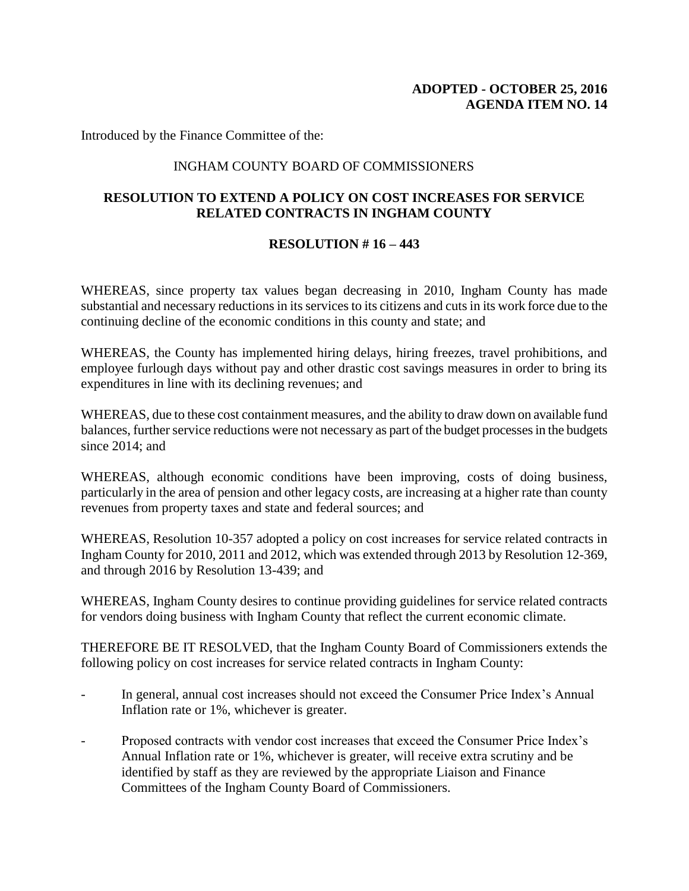Introduced by the Finance Committee of the:

## INGHAM COUNTY BOARD OF COMMISSIONERS

## **RESOLUTION TO EXTEND A POLICY ON COST INCREASES FOR SERVICE RELATED CONTRACTS IN INGHAM COUNTY**

## **RESOLUTION # 16 – 443**

WHEREAS, since property tax values began decreasing in 2010, Ingham County has made substantial and necessary reductions in its services to its citizens and cuts in its work force due to the continuing decline of the economic conditions in this county and state; and

WHEREAS, the County has implemented hiring delays, hiring freezes, travel prohibitions, and employee furlough days without pay and other drastic cost savings measures in order to bring its expenditures in line with its declining revenues; and

WHEREAS, due to these cost containment measures, and the ability to draw down on available fund balances, further service reductions were not necessary as part of the budget processes in the budgets since 2014; and

WHEREAS, although economic conditions have been improving, costs of doing business, particularly in the area of pension and other legacy costs, are increasing at a higher rate than county revenues from property taxes and state and federal sources; and

WHEREAS, Resolution 10-357 adopted a policy on cost increases for service related contracts in Ingham County for 2010, 2011 and 2012, which was extended through 2013 by Resolution 12-369, and through 2016 by Resolution 13-439; and

WHEREAS, Ingham County desires to continue providing guidelines for service related contracts for vendors doing business with Ingham County that reflect the current economic climate.

THEREFORE BE IT RESOLVED, that the Ingham County Board of Commissioners extends the following policy on cost increases for service related contracts in Ingham County:

- In general, annual cost increases should not exceed the Consumer Price Index's Annual Inflation rate or 1%, whichever is greater.
- Proposed contracts with vendor cost increases that exceed the Consumer Price Index's Annual Inflation rate or 1%, whichever is greater, will receive extra scrutiny and be identified by staff as they are reviewed by the appropriate Liaison and Finance Committees of the Ingham County Board of Commissioners.